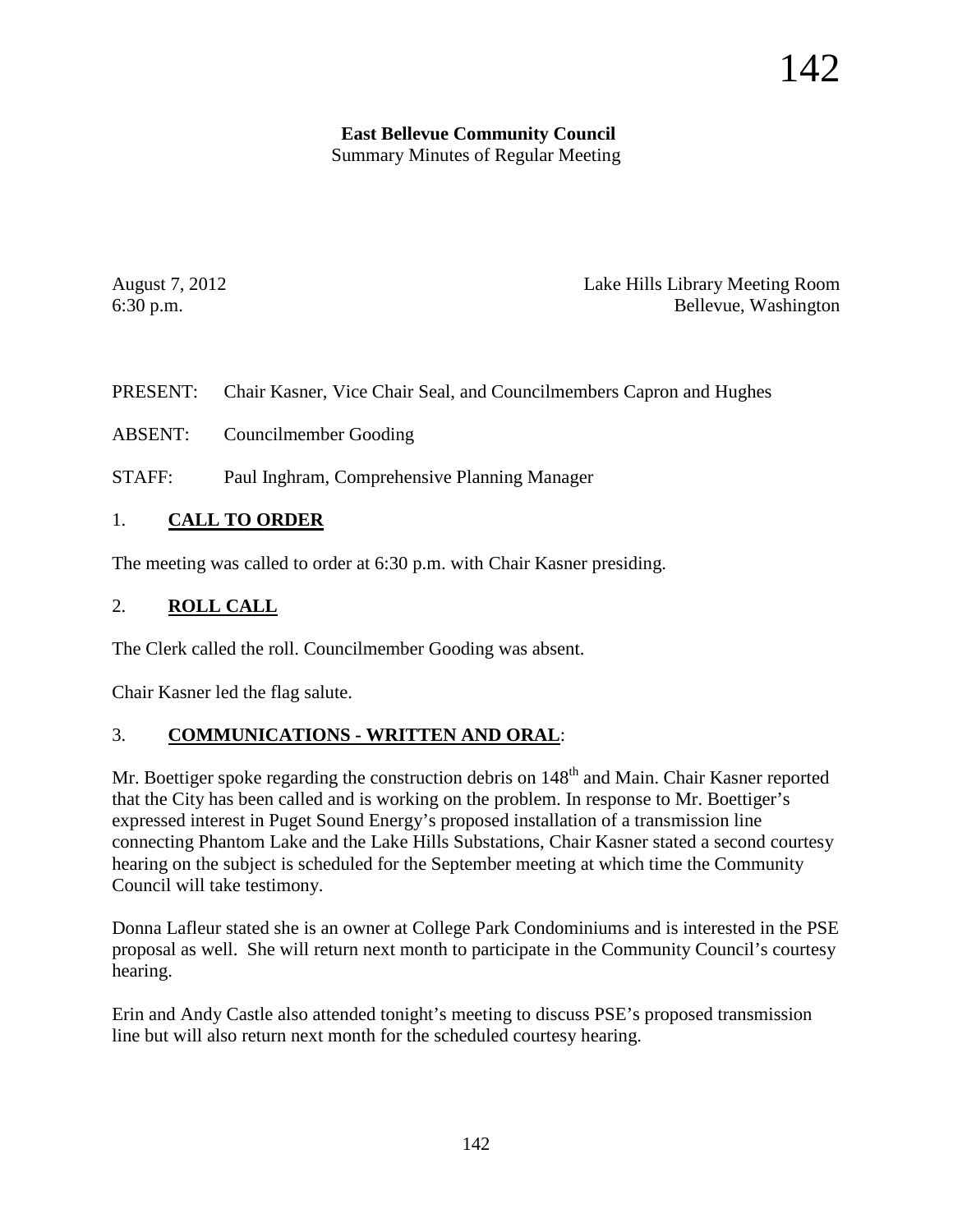#### **East Bellevue Community Council** Summary Minutes of Regular Meeting

August 7, 2012 Lake Hills Library Meeting Room 6:30 p.m. Bellevue, Washington

PRESENT: Chair Kasner, Vice Chair Seal, and Councilmembers Capron and Hughes

ABSENT: Councilmember Gooding

STAFF: Paul Inghram, Comprehensive Planning Manager

# 1. **CALL TO ORDER**

The meeting was called to order at 6:30 p.m. with Chair Kasner presiding.

## 2. **ROLL CALL**

The Clerk called the roll. Councilmember Gooding was absent.

Chair Kasner led the flag salute.

## 3. **COMMUNICATIONS - WRITTEN AND ORAL**:

Mr. Boettiger spoke regarding the construction debris on 148<sup>th</sup> and Main. Chair Kasner reported that the City has been called and is working on the problem. In response to Mr. Boettiger's expressed interest in Puget Sound Energy's proposed installation of a transmission line connecting Phantom Lake and the Lake Hills Substations, Chair Kasner stated a second courtesy hearing on the subject is scheduled for the September meeting at which time the Community Council will take testimony.

Donna Lafleur stated she is an owner at College Park Condominiums and is interested in the PSE proposal as well. She will return next month to participate in the Community Council's courtesy hearing.

Erin and Andy Castle also attended tonight's meeting to discuss PSE's proposed transmission line but will also return next month for the scheduled courtesy hearing.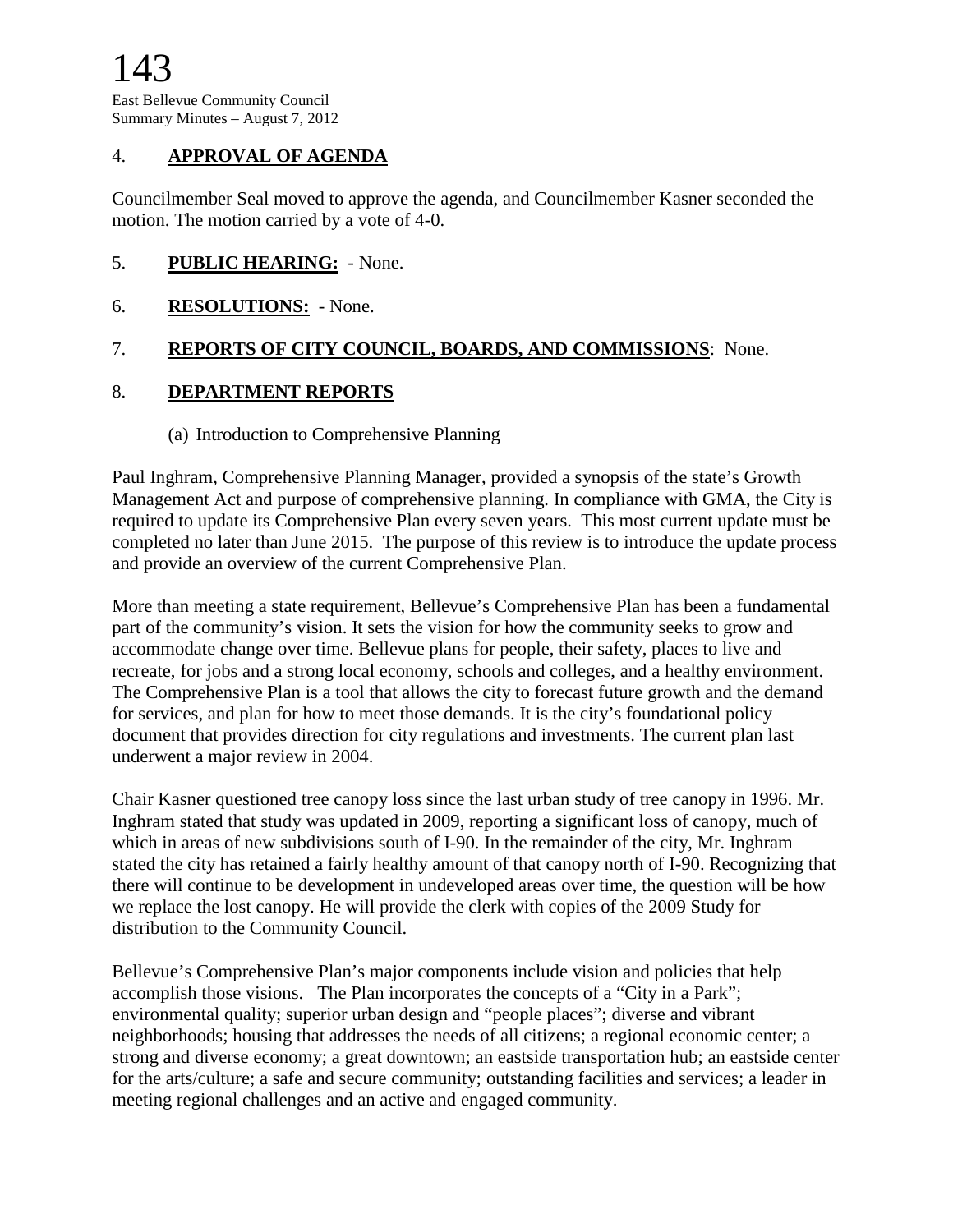### 4. **APPROVAL OF AGENDA**

Councilmember Seal moved to approve the agenda, and Councilmember Kasner seconded the motion. The motion carried by a vote of 4-0.

#### 5. **PUBLIC HEARING:** - None.

6. **RESOLUTIONS:** - None.

#### 7. **REPORTS OF CITY COUNCIL, BOARDS, AND COMMISSIONS**: None.

#### 8. **DEPARTMENT REPORTS**

#### (a) Introduction to Comprehensive Planning

Paul Inghram, Comprehensive Planning Manager, provided a synopsis of the state's Growth Management Act and purpose of comprehensive planning. In compliance with GMA, the City is required to update its Comprehensive Plan every seven years. This most current update must be completed no later than June 2015. The purpose of this review is to introduce the update process and provide an overview of the current Comprehensive Plan.

More than meeting a state requirement, Bellevue's Comprehensive Plan has been a fundamental part of the community's vision. It sets the vision for how the community seeks to grow and accommodate change over time. Bellevue plans for people, their safety, places to live and recreate, for jobs and a strong local economy, schools and colleges, and a healthy environment. The Comprehensive Plan is a tool that allows the city to forecast future growth and the demand for services, and plan for how to meet those demands. It is the city's foundational policy document that provides direction for city regulations and investments. The current plan last underwent a major review in 2004.

Chair Kasner questioned tree canopy loss since the last urban study of tree canopy in 1996. Mr. Inghram stated that study was updated in 2009, reporting a significant loss of canopy, much of which in areas of new subdivisions south of I-90. In the remainder of the city, Mr. Inghram stated the city has retained a fairly healthy amount of that canopy north of I-90. Recognizing that there will continue to be development in undeveloped areas over time, the question will be how we replace the lost canopy. He will provide the clerk with copies of the 2009 Study for distribution to the Community Council.

Bellevue's Comprehensive Plan's major components include vision and policies that help accomplish those visions. The Plan incorporates the concepts of a "City in a Park"; environmental quality; superior urban design and "people places"; diverse and vibrant neighborhoods; housing that addresses the needs of all citizens; a regional economic center; a strong and diverse economy; a great downtown; an eastside transportation hub; an eastside center for the arts/culture; a safe and secure community; outstanding facilities and services; a leader in meeting regional challenges and an active and engaged community.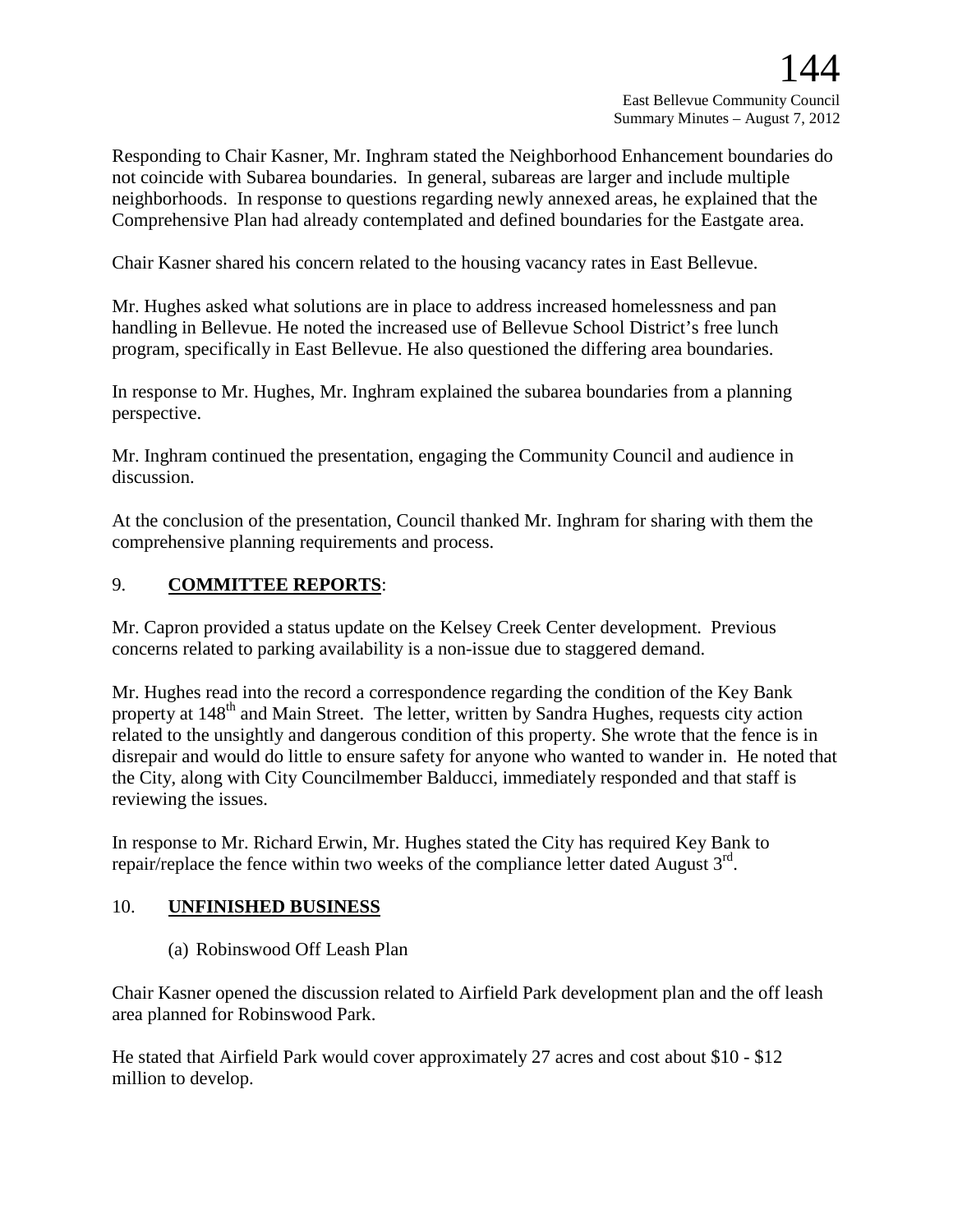Responding to Chair Kasner, Mr. Inghram stated the Neighborhood Enhancement boundaries do not coincide with Subarea boundaries. In general, subareas are larger and include multiple neighborhoods. In response to questions regarding newly annexed areas, he explained that the Comprehensive Plan had already contemplated and defined boundaries for the Eastgate area.

Chair Kasner shared his concern related to the housing vacancy rates in East Bellevue.

Mr. Hughes asked what solutions are in place to address increased homelessness and pan handling in Bellevue. He noted the increased use of Bellevue School District's free lunch program, specifically in East Bellevue. He also questioned the differing area boundaries.

In response to Mr. Hughes, Mr. Inghram explained the subarea boundaries from a planning perspective.

Mr. Inghram continued the presentation, engaging the Community Council and audience in discussion.

At the conclusion of the presentation, Council thanked Mr. Inghram for sharing with them the comprehensive planning requirements and process.

## 9. **COMMITTEE REPORTS**:

Mr. Capron provided a status update on the Kelsey Creek Center development. Previous concerns related to parking availability is a non-issue due to staggered demand.

Mr. Hughes read into the record a correspondence regarding the condition of the Key Bank property at 148<sup>th</sup> and Main Street. The letter, written by Sandra Hughes, requests city action related to the unsightly and dangerous condition of this property. She wrote that the fence is in disrepair and would do little to ensure safety for anyone who wanted to wander in. He noted that the City, along with City Councilmember Balducci, immediately responded and that staff is reviewing the issues.

In response to Mr. Richard Erwin, Mr. Hughes stated the City has required Key Bank to repair/replace the fence within two weeks of the compliance letter dated August  $3<sup>rd</sup>$ .

## 10. **UNFINISHED BUSINESS**

(a) Robinswood Off Leash Plan

Chair Kasner opened the discussion related to Airfield Park development plan and the off leash area planned for Robinswood Park.

He stated that Airfield Park would cover approximately 27 acres and cost about \$10 - \$12 million to develop.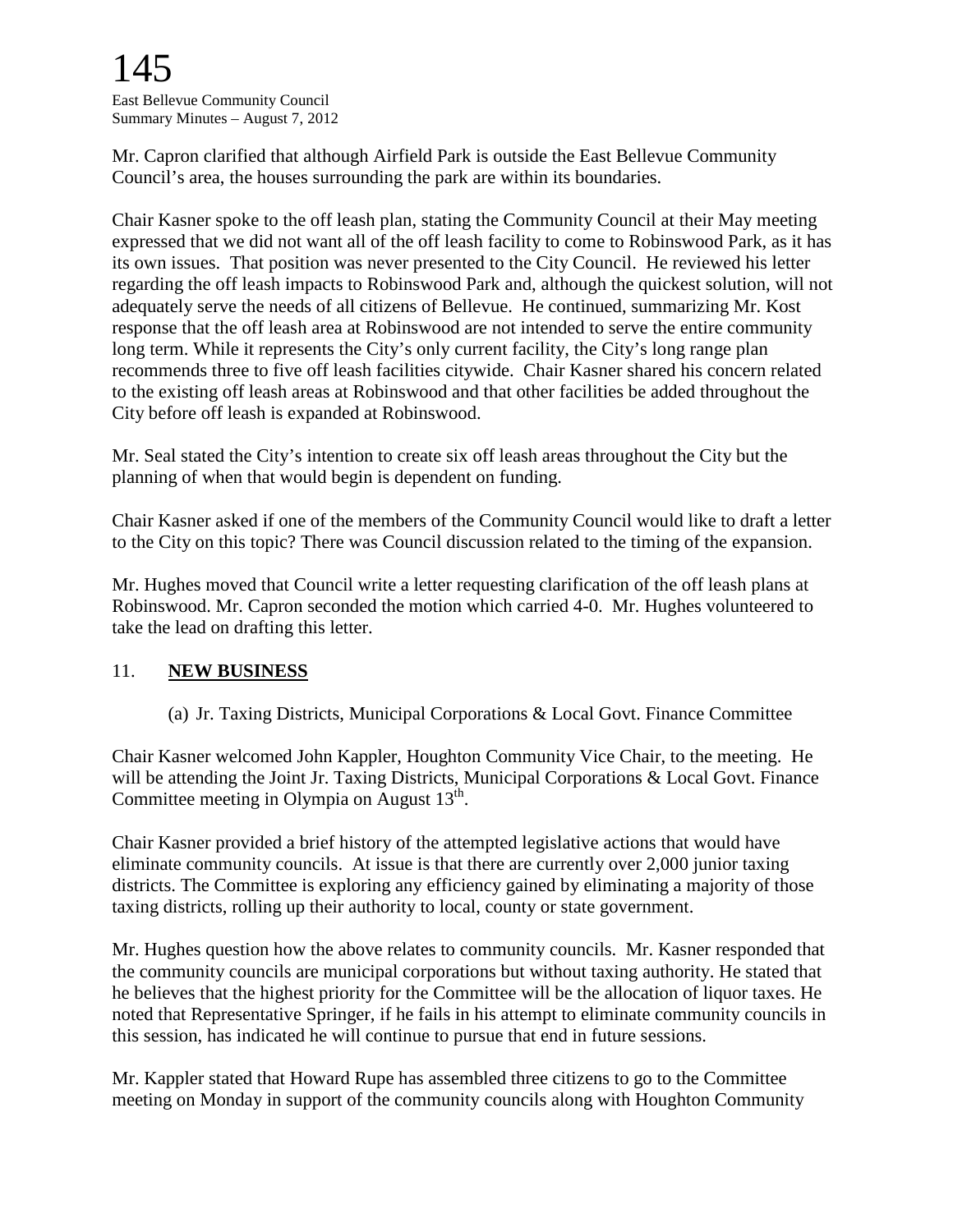# 145 East Bellevue Community Council Summary Minutes – August 7, 2012

Mr. Capron clarified that although Airfield Park is outside the East Bellevue Community Council's area, the houses surrounding the park are within its boundaries.

Chair Kasner spoke to the off leash plan, stating the Community Council at their May meeting expressed that we did not want all of the off leash facility to come to Robinswood Park, as it has its own issues. That position was never presented to the City Council. He reviewed his letter regarding the off leash impacts to Robinswood Park and, although the quickest solution, will not adequately serve the needs of all citizens of Bellevue. He continued, summarizing Mr. Kost response that the off leash area at Robinswood are not intended to serve the entire community long term. While it represents the City's only current facility, the City's long range plan recommends three to five off leash facilities citywide. Chair Kasner shared his concern related to the existing off leash areas at Robinswood and that other facilities be added throughout the City before off leash is expanded at Robinswood.

Mr. Seal stated the City's intention to create six off leash areas throughout the City but the planning of when that would begin is dependent on funding.

Chair Kasner asked if one of the members of the Community Council would like to draft a letter to the City on this topic? There was Council discussion related to the timing of the expansion.

Mr. Hughes moved that Council write a letter requesting clarification of the off leash plans at Robinswood. Mr. Capron seconded the motion which carried 4-0. Mr. Hughes volunteered to take the lead on drafting this letter.

## 11. **NEW BUSINESS**

(a) Jr. Taxing Districts, Municipal Corporations & Local Govt. Finance Committee

Chair Kasner welcomed John Kappler, Houghton Community Vice Chair, to the meeting. He will be attending the Joint Jr. Taxing Districts, Municipal Corporations & Local Govt. Finance Committee meeting in Olympia on August  $13<sup>th</sup>$ .

Chair Kasner provided a brief history of the attempted legislative actions that would have eliminate community councils. At issue is that there are currently over 2,000 junior taxing districts. The Committee is exploring any efficiency gained by eliminating a majority of those taxing districts, rolling up their authority to local, county or state government.

Mr. Hughes question how the above relates to community councils. Mr. Kasner responded that the community councils are municipal corporations but without taxing authority. He stated that he believes that the highest priority for the Committee will be the allocation of liquor taxes. He noted that Representative Springer, if he fails in his attempt to eliminate community councils in this session, has indicated he will continue to pursue that end in future sessions.

Mr. Kappler stated that Howard Rupe has assembled three citizens to go to the Committee meeting on Monday in support of the community councils along with Houghton Community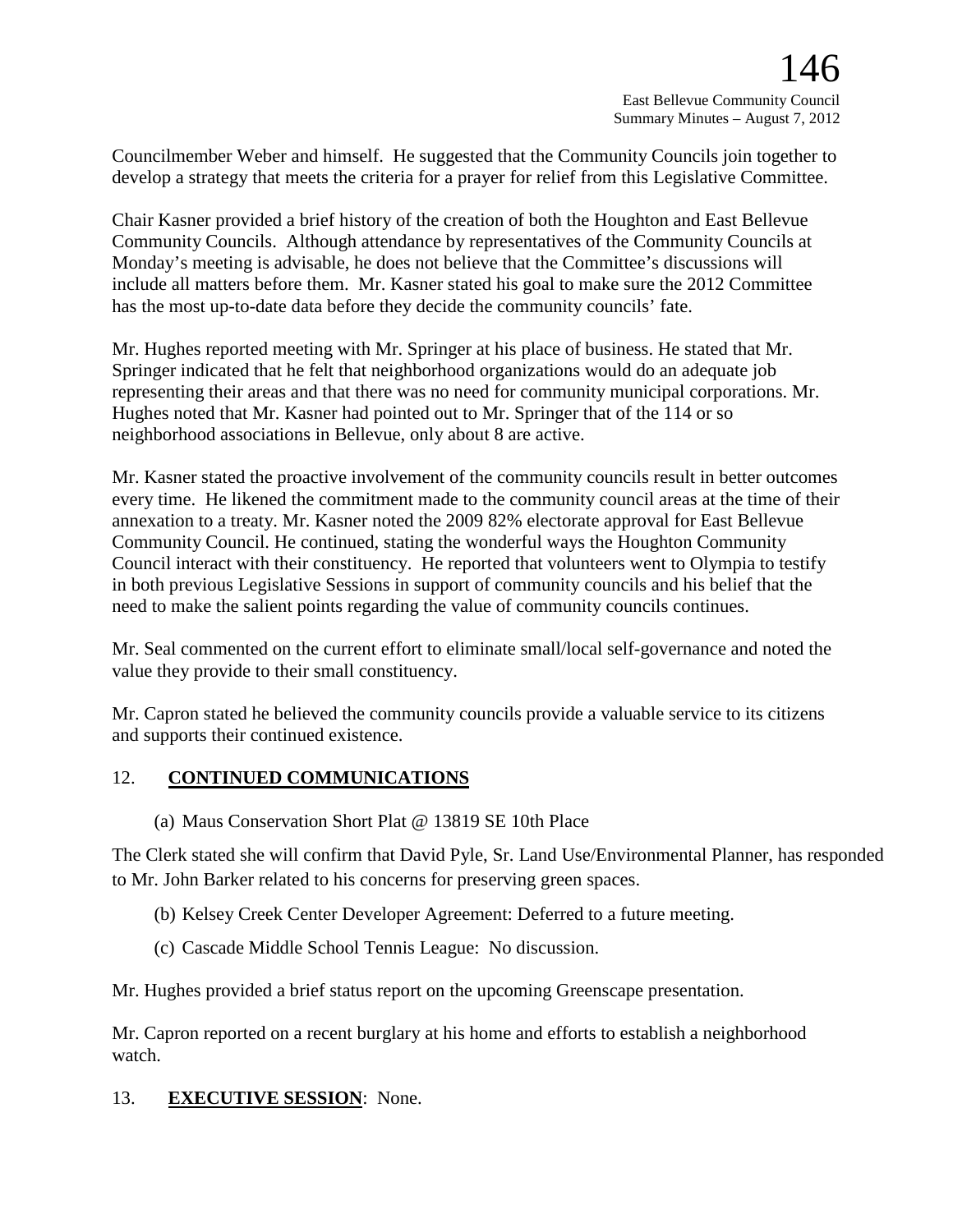Councilmember Weber and himself. He suggested that the Community Councils join together to develop a strategy that meets the criteria for a prayer for relief from this Legislative Committee.

Chair Kasner provided a brief history of the creation of both the Houghton and East Bellevue Community Councils. Although attendance by representatives of the Community Councils at Monday's meeting is advisable, he does not believe that the Committee's discussions will include all matters before them. Mr. Kasner stated his goal to make sure the 2012 Committee has the most up-to-date data before they decide the community councils' fate.

Mr. Hughes reported meeting with Mr. Springer at his place of business. He stated that Mr. Springer indicated that he felt that neighborhood organizations would do an adequate job representing their areas and that there was no need for community municipal corporations. Mr. Hughes noted that Mr. Kasner had pointed out to Mr. Springer that of the 114 or so neighborhood associations in Bellevue, only about 8 are active.

Mr. Kasner stated the proactive involvement of the community councils result in better outcomes every time. He likened the commitment made to the community council areas at the time of their annexation to a treaty. Mr. Kasner noted the 2009 82% electorate approval for East Bellevue Community Council. He continued, stating the wonderful ways the Houghton Community Council interact with their constituency. He reported that volunteers went to Olympia to testify in both previous Legislative Sessions in support of community councils and his belief that the need to make the salient points regarding the value of community councils continues.

Mr. Seal commented on the current effort to eliminate small/local self-governance and noted the value they provide to their small constituency.

Mr. Capron stated he believed the community councils provide a valuable service to its citizens and supports their continued existence.

# 12. **CONTINUED COMMUNICATIONS**

(a) Maus Conservation Short Plat @ 13819 SE 10th Place

The Clerk stated she will confirm that David Pyle, Sr. Land Use/Environmental Planner, has responded to Mr. John Barker related to his concerns for preserving green spaces.

- (b) Kelsey Creek Center Developer Agreement: Deferred to a future meeting.
- (c) Cascade Middle School Tennis League: No discussion.

Mr. Hughes provided a brief status report on the upcoming Greenscape presentation.

Mr. Capron reported on a recent burglary at his home and efforts to establish a neighborhood watch.

#### 13. **EXECUTIVE SESSION**: None.